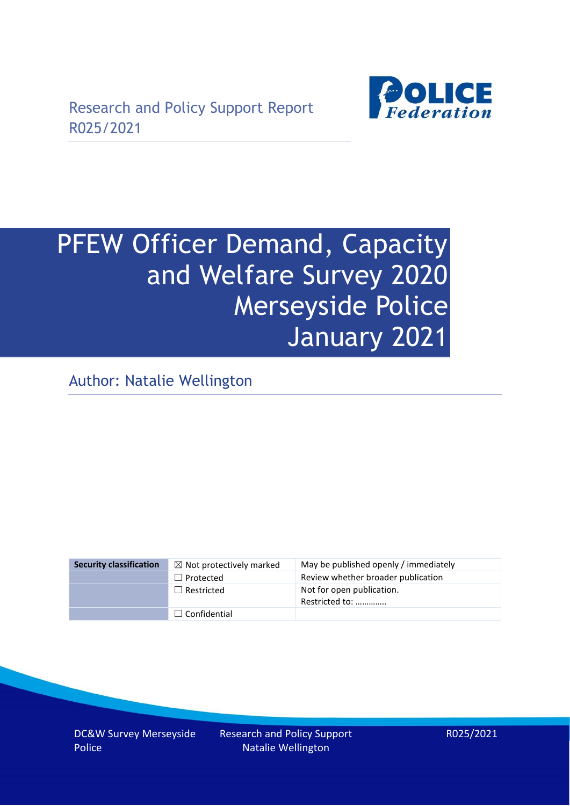

# PFEW Officer Demand, Capacity and Welfare Survey 2020 Merseyside Police January 2021

Author: Natalie Wellington

| <b>Security classification</b> | $\boxtimes$ Not protectively marked | May be published openly / immediately       |
|--------------------------------|-------------------------------------|---------------------------------------------|
|                                | $\Box$ Protected                    | Review whether broader publication          |
|                                | $\Box$ Restricted                   | Not for open publication.<br>Restricted to: |
|                                | $\Box$ Confidential                 |                                             |

DC&W Survey Merseyside Police

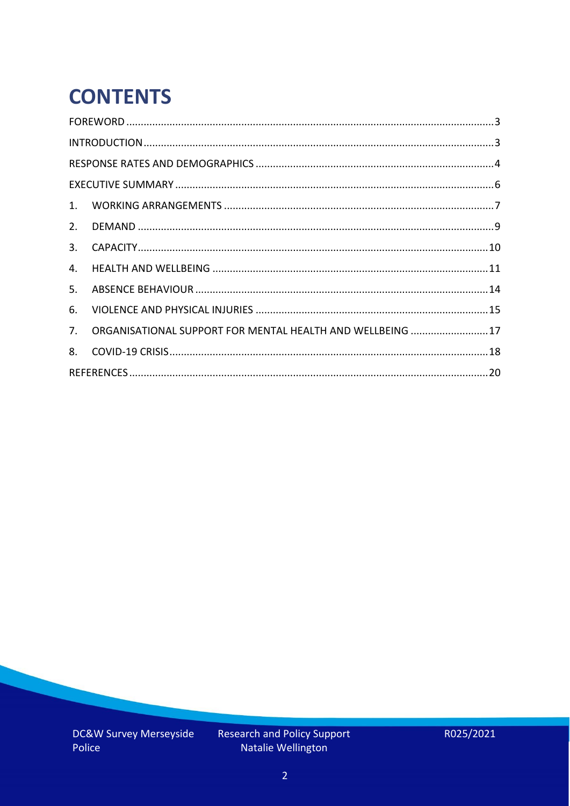# **CONTENTS**

| 2.          |                                                            |  |
|-------------|------------------------------------------------------------|--|
| 3.          |                                                            |  |
| 4.          |                                                            |  |
| 5.          |                                                            |  |
| 6.          |                                                            |  |
| $7_{\cdot}$ | ORGANISATIONAL SUPPORT FOR MENTAL HEALTH AND WELLBEING  17 |  |
| 8.          |                                                            |  |
|             |                                                            |  |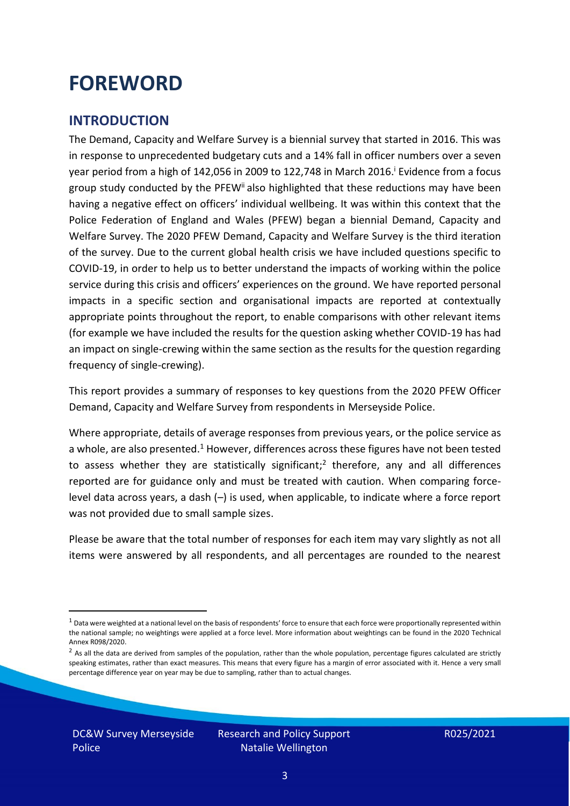### <span id="page-2-0"></span>**FOREWORD**

#### <span id="page-2-1"></span>**INTRODUCTION**

The Demand, Capacity and Welfare Survey is a biennial survey that started in 2016. This was in response to unprecedented budgetary cuts and a 14% fall in officer numbers over a seven year period from a high of 142,056 in 2009 to 122,748 in March 2016. <sup>i</sup> Evidence from a focus group study conducted by the PFEW<sup>ii</sup> also highlighted that these reductions may have been having a negative effect on officers' individual wellbeing. It was within this context that the Police Federation of England and Wales (PFEW) began a biennial Demand, Capacity and Welfare Survey. The 2020 PFEW Demand, Capacity and Welfare Survey is the third iteration of the survey. Due to the current global health crisis we have included questions specific to COVID-19, in order to help us to better understand the impacts of working within the police service during this crisis and officers' experiences on the ground. We have reported personal impacts in a specific section and organisational impacts are reported at contextually appropriate points throughout the report, to enable comparisons with other relevant items (for example we have included the results for the question asking whether COVID-19 has had an impact on single-crewing within the same section as the results for the question regarding frequency of single-crewing).

This report provides a summary of responses to key questions from the 2020 PFEW Officer Demand, Capacity and Welfare Survey from respondents in Merseyside Police.

Where appropriate, details of average responses from previous years, or the police service as a whole, are also presented.<sup>1</sup> However, differences across these figures have not been tested to assess whether they are statistically significant;<sup>2</sup> therefore, any and all differences reported are for guidance only and must be treated with caution. When comparing forcelevel data across years, a dash (–) is used, when applicable, to indicate where a force report was not provided due to small sample sizes.

Please be aware that the total number of responses for each item may vary slightly as not all items were answered by all respondents, and all percentages are rounded to the nearest

DC&W Survey Merseyside Police

 $1$  Data were weighted at a national level on the basis of respondents' force to ensure that each force were proportionally represented within the national sample; no weightings were applied at a force level. More information about weightings can be found in the 2020 Technical Annex R098/2020.

 $2$  As all the data are derived from samples of the population, rather than the whole population, percentage figures calculated are strictly speaking estimates, rather than exact measures. This means that every figure has a margin of error associated with it. Hence a very small percentage difference year on year may be due to sampling, rather than to actual changes.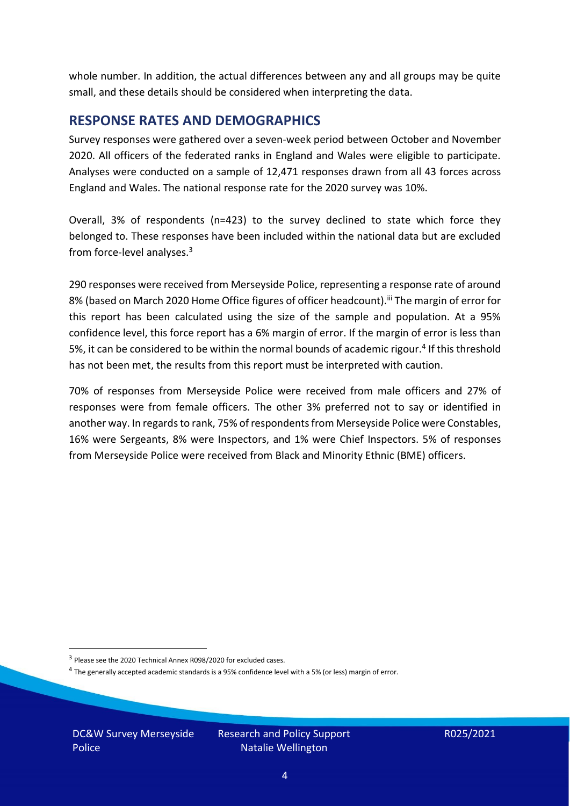whole number. In addition, the actual differences between any and all groups may be quite small, and these details should be considered when interpreting the data.

#### <span id="page-3-0"></span>**RESPONSE RATES AND DEMOGRAPHICS**

Survey responses were gathered over a seven-week period between October and November 2020. All officers of the federated ranks in England and Wales were eligible to participate. Analyses were conducted on a sample of 12,471 responses drawn from all 43 forces across England and Wales. The national response rate for the 2020 survey was 10%.

Overall, 3% of respondents (n=423) to the survey declined to state which force they belonged to. These responses have been included within the national data but are excluded from force-level analyses.<sup>3</sup>

290 responses were received from Merseyside Police, representing a response rate of around 8% (based on March 2020 Home Office figures of officer headcount).<sup>iii</sup> The margin of error for this report has been calculated using the size of the sample and population. At a 95% confidence level, this force report has a 6% margin of error. If the margin of error is less than 5%, it can be considered to be within the normal bounds of academic rigour.<sup>4</sup> If this threshold has not been met, the results from this report must be interpreted with caution.

70% of responses from Merseyside Police were received from male officers and 27% of responses were from female officers. The other 3% preferred not to say or identified in another way. In regards to rank, 75% of respondents from Merseyside Police were Constables, 16% were Sergeants, 8% were Inspectors, and 1% were Chief Inspectors. 5% of responses from Merseyside Police were received from Black and Minority Ethnic (BME) officers.

DC&W Survey Merseyside Police

<sup>&</sup>lt;sup>3</sup> Please see the 2020 Technical Annex R098/2020 for excluded cases.

<sup>&</sup>lt;sup>4</sup> The generally accepted academic standards is a 95% confidence level with a 5% (or less) margin of error.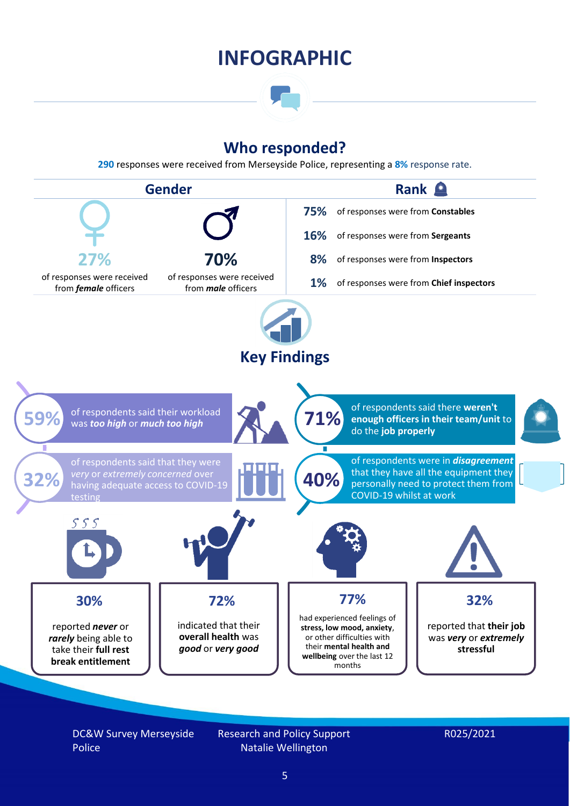### **INFOGRAPHIC**

### **Who responded?**

**290** responses were received from Merseyside Police, representing a **8%** response rate.



DC&W Survey Merseyside Police

Research and Policy Support Natalie Wellington

#### R025/2021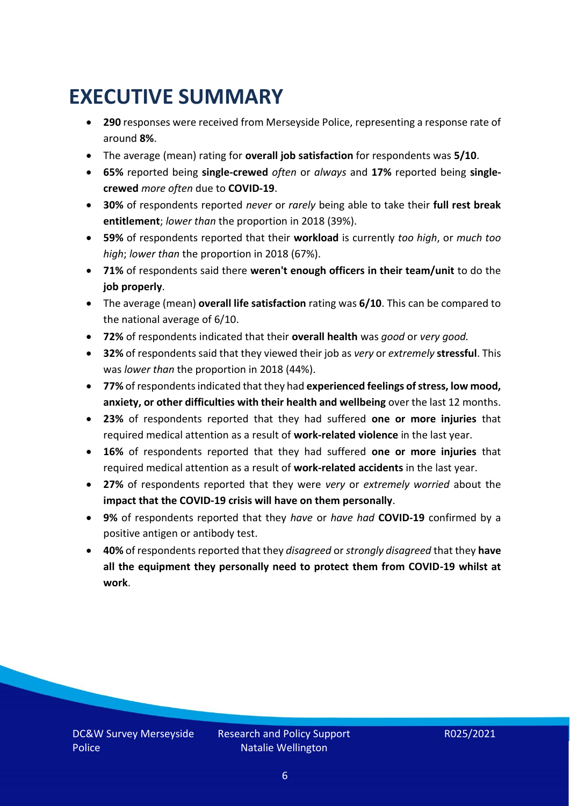# <span id="page-5-0"></span>**EXECUTIVE SUMMARY**

- **290** responses were received from Merseyside Police, representing a response rate of around **8%**.
- The average (mean) rating for **overall job satisfaction** for respondents was **5/10**.
- **65%** reported being **single-crewed** *often* or *always* and **17%** reported being **singlecrewed** *more often* due to **COVID-19**.
- **30%** of respondents reported *never* or *rarely* being able to take their **full rest break entitlement**; *lower than* the proportion in 2018 (39%).
- **59%** of respondents reported that their **workload** is currently *too high*, or *much too high*; *lower than* the proportion in 2018 (67%).
- **71%** of respondents said there **weren't enough officers in their team/unit** to do the **job properly**.
- The average (mean) **overall life satisfaction** rating was **6/10**. This can be compared to the national average of 6/10.
- **72%** of respondents indicated that their **overall health** was *good* or *very good.*
- **32%** of respondents said that they viewed their job as *very* or *extremely* **stressful**. This was *lower than* the proportion in 2018 (44%).
- **77%** of respondents indicated that they had **experienced feelings of stress, low mood, anxiety, or other difficulties with their health and wellbeing** over the last 12 months.
- **23%** of respondents reported that they had suffered **one or more injuries** that required medical attention as a result of **work-related violence** in the last year.
- **16%** of respondents reported that they had suffered **one or more injuries** that required medical attention as a result of **work-related accidents** in the last year.
- **27%** of respondents reported that they were *very* or *extremely worried* about the **impact that the COVID-19 crisis will have on them personally**.
- **9%** of respondents reported that they *have* or *have had* **COVID-19** confirmed by a positive antigen or antibody test.
- **40%** of respondents reported that they *disagreed* or *strongly disagreed* that they **have all the equipment they personally need to protect them from COVID-19 whilst at work**.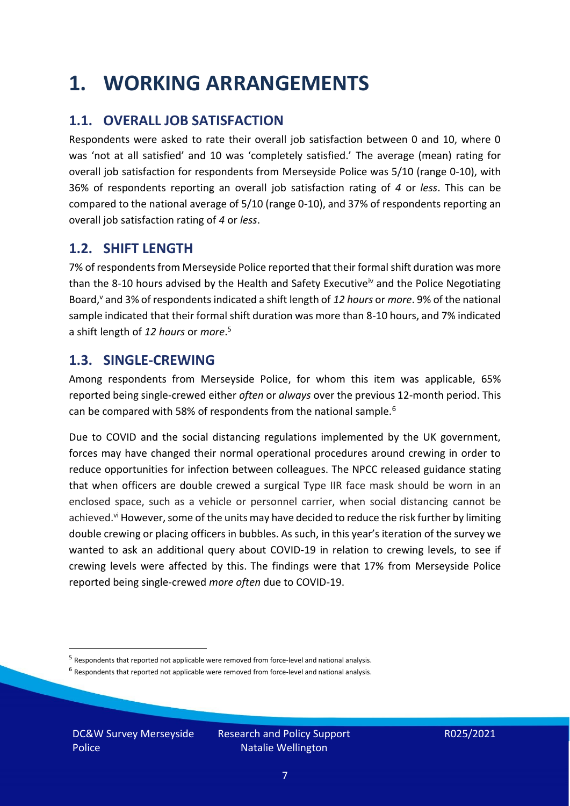### <span id="page-6-0"></span>**1. WORKING ARRANGEMENTS**

### **1.1. OVERALL JOB SATISFACTION**

Respondents were asked to rate their overall job satisfaction between 0 and 10, where 0 was 'not at all satisfied' and 10 was 'completely satisfied.' The average (mean) rating for overall job satisfaction for respondents from Merseyside Police was 5/10 (range 0-10), with 36% of respondents reporting an overall job satisfaction rating of *4* or *less*. This can be compared to the national average of 5/10 (range 0-10), and 37% of respondents reporting an overall job satisfaction rating of *4* or *less*.

#### **1.2. SHIFT LENGTH**

7% of respondents from Merseyside Police reported that their formal shift duration was more than the 8-10 hours advised by the Health and Safety Executive<sup>iv</sup> and the Police Negotiating Board,<sup>v</sup> and 3% of respondents indicated a shift length of *12 hours* or *more*. 9% of the national sample indicated that their formal shift duration was more than 8-10 hours, and 7% indicated a shift length of *12 hours* or *more*. 5

#### **1.3. SINGLE-CREWING**

Among respondents from Merseyside Police, for whom this item was applicable, 65% reported being single-crewed either *often* or *always* over the previous 12-month period. This can be compared with 58% of respondents from the national sample.<sup>6</sup>

Due to COVID and the social distancing regulations implemented by the UK government, forces may have changed their normal operational procedures around crewing in order to reduce opportunities for infection between colleagues. The NPCC released guidance stating that when officers are double crewed a surgical Type IIR face mask should be worn in an enclosed space, such as a vehicle or personnel carrier, when social distancing cannot be achieved.<sup>vi</sup> However, some of the units may have decided to reduce the risk further by limiting double crewing or placing officers in bubbles. As such, in this year's iteration of the survey we wanted to ask an additional query about COVID-19 in relation to crewing levels, to see if crewing levels were affected by this. The findings were that 17% from Merseyside Police reported being single-crewed *more often* due to COVID-19.

DC&W Survey Merseyside Police

<sup>&</sup>lt;sup>5</sup> Respondents that reported not applicable were removed from force-level and national analysis.

 $<sup>6</sup>$  Respondents that reported not applicable were removed from force-level and national analysis.</sup>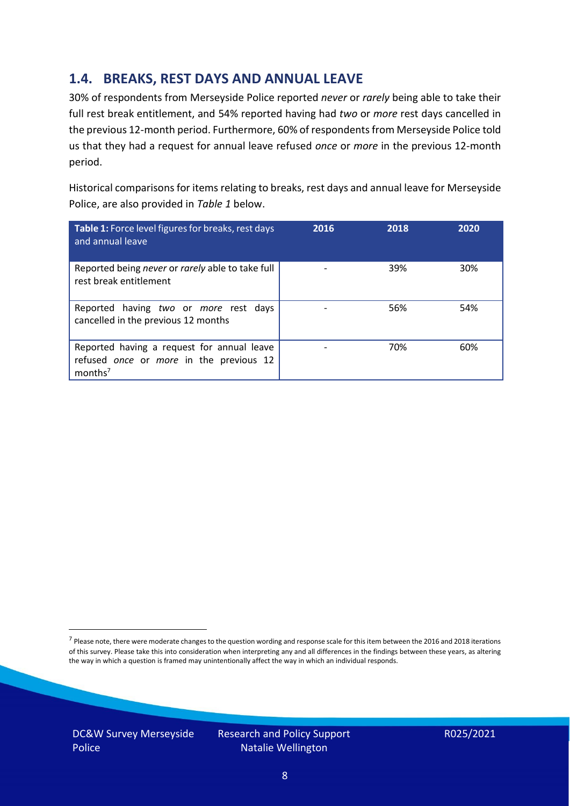### **1.4. BREAKS, REST DAYS AND ANNUAL LEAVE**

30% of respondents from Merseyside Police reported *never* or *rarely* being able to take their full rest break entitlement, and 54% reported having had *two* or *more* rest days cancelled in the previous 12-month period. Furthermore, 60% of respondents from Merseyside Police told us that they had a request for annual leave refused *once* or *more* in the previous 12-month period.

Historical comparisons for items relating to breaks, rest days and annual leave for Merseyside Police, are also provided in *Table 1* below.

| Table 1: Force level figures for breaks, rest days<br>and annual leave                                       | 2016 | 2018 | 2020 |
|--------------------------------------------------------------------------------------------------------------|------|------|------|
| Reported being never or rarely able to take full<br>rest break entitlement                                   |      | 39%  | 30%  |
| Reported having two or more rest days<br>cancelled in the previous 12 months                                 |      | 56%  | 54%  |
| Reported having a request for annual leave<br>refused once or more in the previous 12<br>months <sup>7</sup> |      | 70%  | 60%  |

DC&W Survey Merseyside Police



<sup>&</sup>lt;sup>7</sup> Please note, there were moderate changes to the question wording and response scale for this item between the 2016 and 2018 iterations of this survey. Please take this into consideration when interpreting any and all differences in the findings between these years, as altering the way in which a question is framed may unintentionally affect the way in which an individual responds.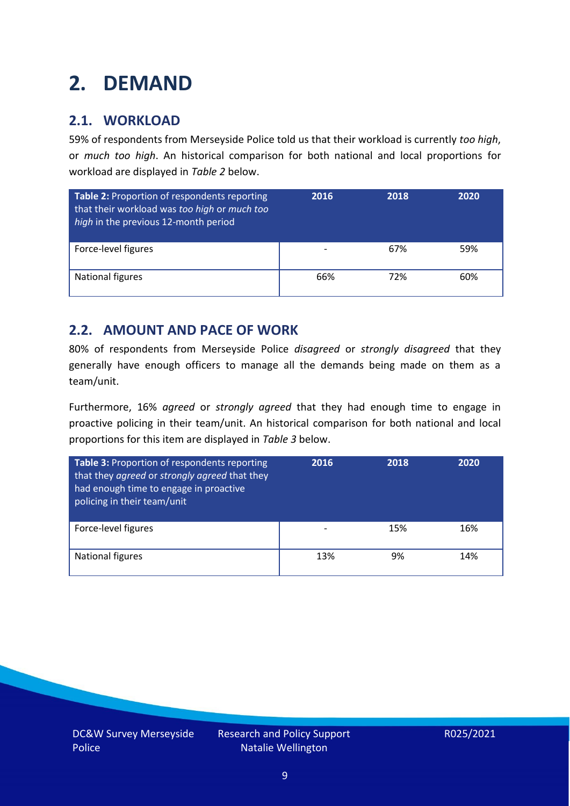# <span id="page-8-0"></span>**2. DEMAND**

### **2.1. WORKLOAD**

59% of respondents from Merseyside Police told us that their workload is currently *too high*, or *much too high*. An historical comparison for both national and local proportions for workload are displayed in *Table 2* below.

| Table 2: Proportion of respondents reporting<br>that their workload was too high or much too<br>high in the previous 12-month period | 2016 | 2018 | 2020 |
|--------------------------------------------------------------------------------------------------------------------------------------|------|------|------|
| Force-level figures                                                                                                                  |      | 67%  | 59%  |
| National figures                                                                                                                     | 66%  | 72%  | 60%  |

#### **2.2. AMOUNT AND PACE OF WORK**

80% of respondents from Merseyside Police *disagreed* or *strongly disagreed* that they generally have enough officers to manage all the demands being made on them as a team/unit.

Furthermore, 16% *agreed* or *strongly agreed* that they had enough time to engage in proactive policing in their team/unit. An historical comparison for both national and local proportions for this item are displayed in *Table 3* below.

| <b>Table 3: Proportion of respondents reporting</b><br>that they agreed or strongly agreed that they<br>had enough time to engage in proactive<br>policing in their team/unit | 2016 | 2018 | 2020 |
|-------------------------------------------------------------------------------------------------------------------------------------------------------------------------------|------|------|------|
| Force-level figures                                                                                                                                                           |      | 15%  | 16%  |
| National figures                                                                                                                                                              | 13%  | 9%   | 14%  |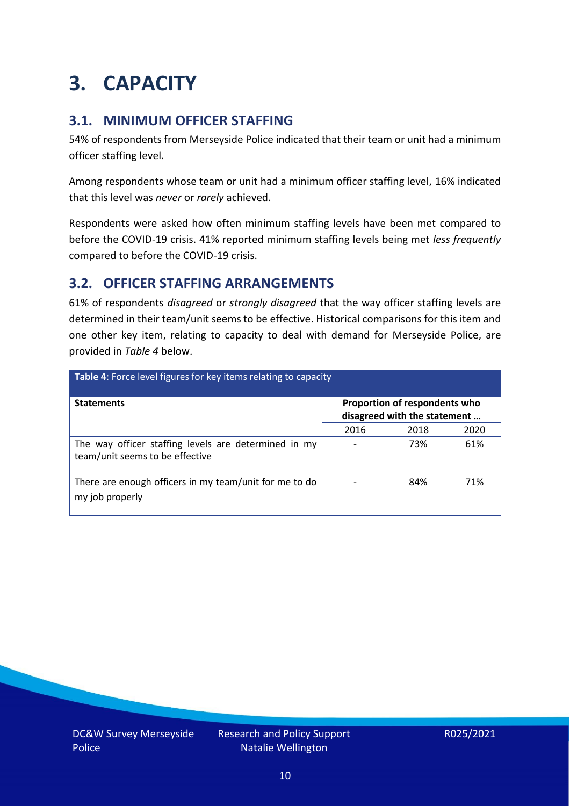# <span id="page-9-0"></span>**3. CAPACITY**

### **3.1. MINIMUM OFFICER STAFFING**

54% of respondents from Merseyside Police indicated that their team or unit had a minimum officer staffing level.

Among respondents whose team or unit had a minimum officer staffing level, 16% indicated that this level was *never* or *rarely* achieved.

Respondents were asked how often minimum staffing levels have been met compared to before the COVID-19 crisis. 41% reported minimum staffing levels being met *less frequently* compared to before the COVID-19 crisis.

### **3.2. OFFICER STAFFING ARRANGEMENTS**

61% of respondents *disagreed* or *strongly disagreed* that the way officer staffing levels are determined in their team/unit seems to be effective. Historical comparisons for this item and one other key item, relating to capacity to deal with demand for Merseyside Police, are provided in *Table 4* below.

| <b>Table 4:</b> Force level figures for key items relating to capacity                  |                                                               |      |      |  |
|-----------------------------------------------------------------------------------------|---------------------------------------------------------------|------|------|--|
| <b>Statements</b>                                                                       | Proportion of respondents who<br>disagreed with the statement |      |      |  |
|                                                                                         | 2016                                                          | 2018 | 2020 |  |
| The way officer staffing levels are determined in my<br>team/unit seems to be effective |                                                               | 73%  | 61%  |  |
| There are enough officers in my team/unit for me to do<br>my job properly               |                                                               | 84%  | 71%  |  |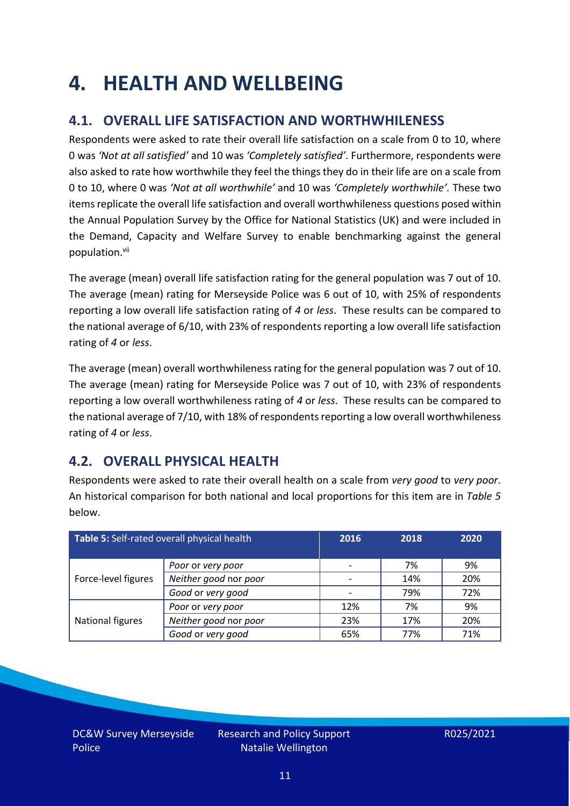### <span id="page-10-0"></span>**4. HEALTH AND WELLBEING**

### **4.1. OVERALL LIFE SATISFACTION AND WORTHWHILENESS**

Respondents were asked to rate their overall life satisfaction on a scale from 0 to 10, where 0 was *'Not at all satisfied'* and 10 was *'Completely satisfied'*. Furthermore, respondents were also asked to rate how worthwhile they feel the things they do in their life are on a scale from 0 to 10, where 0 was *'Not at all worthwhile'* and 10 was *'Completely worthwhile'.* These two items replicate the overall life satisfaction and overall worthwhileness questions posed within the Annual Population Survey by the Office for National Statistics (UK) and were included in the Demand, Capacity and Welfare Survey to enable benchmarking against the general population. vii

The average (mean) overall life satisfaction rating for the general population was 7 out of 10. The average (mean) rating for Merseyside Police was 6 out of 10, with 25% of respondents reporting a low overall life satisfaction rating of *4* or *less*. These results can be compared to the national average of 6/10, with 23% of respondents reporting a low overall life satisfaction rating of *4* or *less*.

The average (mean) overall worthwhileness rating for the general population was 7 out of 10. The average (mean) rating for Merseyside Police was 7 out of 10, with 23% of respondents reporting a low overall worthwhileness rating of *4* or *less*. These results can be compared to the national average of 7/10, with 18% of respondents reporting a low overall worthwhileness rating of *4* or *less*.

### **4.2. OVERALL PHYSICAL HEALTH**

Respondents were asked to rate their overall health on a scale from *very good* to *very poor*. An historical comparison for both national and local proportions for this item are in *Table 5* below.

| Table 5: Self-rated overall physical health |                       | 2016 | 2018 | 2020 |
|---------------------------------------------|-----------------------|------|------|------|
|                                             | Poor or very poor     |      | 7%   | 9%   |
| Force-level figures                         | Neither good nor poor |      | 14%  | 20%  |
|                                             | Good or very good     |      | 79%  | 72%  |
|                                             | Poor or very poor     | 12%  | 7%   | 9%   |
| National figures                            | Neither good nor poor | 23%  | 17%  | 20%  |
|                                             | Good or very good     | 65%  | 77%  | 71%  |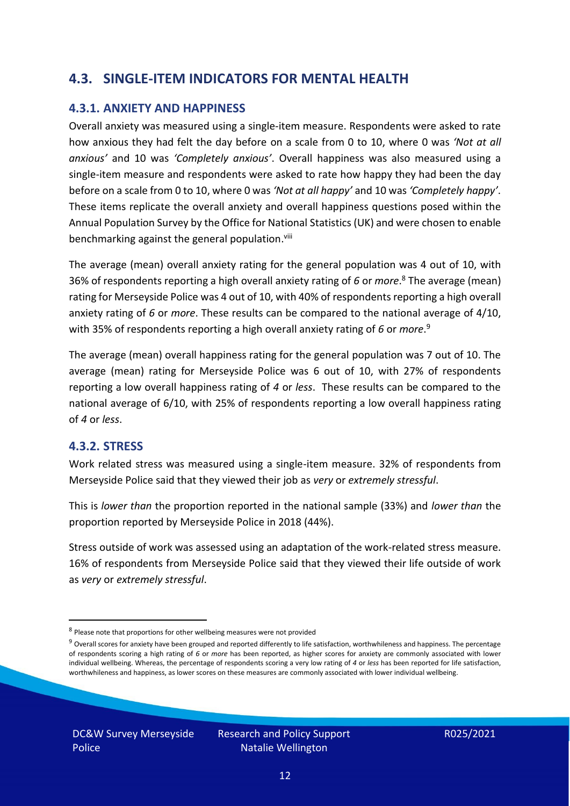#### **4.3. SINGLE-ITEM INDICATORS FOR MENTAL HEALTH**

#### **4.3.1. ANXIETY AND HAPPINESS**

Overall anxiety was measured using a single-item measure. Respondents were asked to rate how anxious they had felt the day before on a scale from 0 to 10, where 0 was *'Not at all anxious'* and 10 was *'Completely anxious'*. Overall happiness was also measured using a single-item measure and respondents were asked to rate how happy they had been the day before on a scale from 0 to 10, where 0 was *'Not at all happy'* and 10 was *'Completely happy'*. These items replicate the overall anxiety and overall happiness questions posed within the Annual Population Survey by the Office for National Statistics (UK) and were chosen to enable benchmarking against the general population.<sup>viii</sup>

The average (mean) overall anxiety rating for the general population was 4 out of 10, with 36% of respondents reporting a high overall anxiety rating of *6* or *more*. <sup>8</sup> The average (mean) rating for Merseyside Police was 4 out of 10, with 40% of respondents reporting a high overall anxiety rating of *6* or *more*. These results can be compared to the national average of 4/10, with 35% of respondents reporting a high overall anxiety rating of *6* or *more*. 9

The average (mean) overall happiness rating for the general population was 7 out of 10. The average (mean) rating for Merseyside Police was 6 out of 10, with 27% of respondents reporting a low overall happiness rating of *4* or *less*. These results can be compared to the national average of 6/10, with 25% of respondents reporting a low overall happiness rating of *4* or *less*.

#### **4.3.2. STRESS**

Work related stress was measured using a single-item measure. 32% of respondents from Merseyside Police said that they viewed their job as *very* or *extremely stressful*.

This is *lower than* the proportion reported in the national sample (33%) and *lower than* the proportion reported by Merseyside Police in 2018 (44%).

Stress outside of work was assessed using an adaptation of the work-related stress measure. 16% of respondents from Merseyside Police said that they viewed their life outside of work as *very* or *extremely stressful*.

<sup>&</sup>lt;sup>8</sup> Please note that proportions for other wellbeing measures were not provided

 $9$  Overall scores for anxiety have been grouped and reported differently to life satisfaction, worthwhileness and happiness. The percentage of respondents scoring a high rating of *6* or *more* has been reported, as higher scores for anxiety are commonly associated with lower individual wellbeing. Whereas, the percentage of respondents scoring a very low rating of *4* or *less* has been reported for life satisfaction, worthwhileness and happiness, as lower scores on these measures are commonly associated with lower individual wellbeing.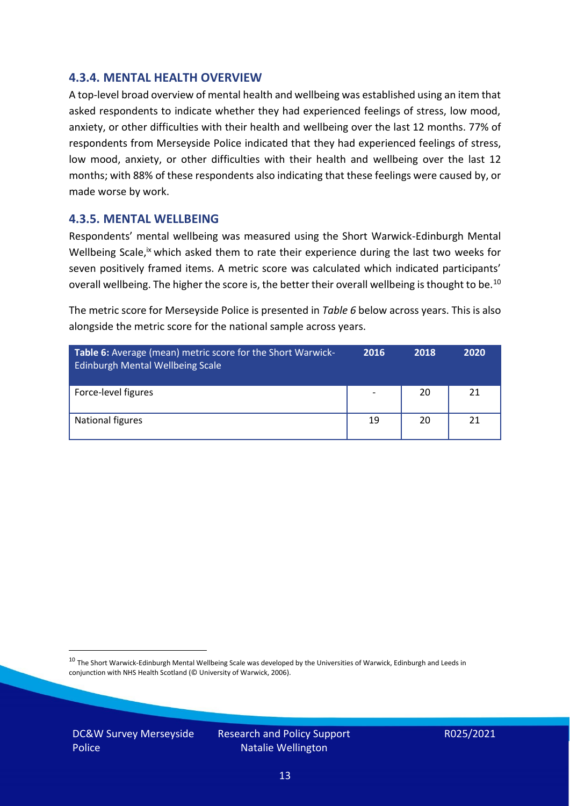#### **4.3.4. MENTAL HEALTH OVERVIEW**

A top-level broad overview of mental health and wellbeing was established using an item that asked respondents to indicate whether they had experienced feelings of stress, low mood, anxiety, or other difficulties with their health and wellbeing over the last 12 months. 77% of respondents from Merseyside Police indicated that they had experienced feelings of stress, low mood, anxiety, or other difficulties with their health and wellbeing over the last 12 months; with 88% of these respondents also indicating that these feelings were caused by, or made worse by work.

#### **4.3.5. MENTAL WELLBEING**

Respondents' mental wellbeing was measured using the Short Warwick-Edinburgh Mental Wellbeing Scale,<sup>ix</sup> which asked them to rate their experience during the last two weeks for seven positively framed items. A metric score was calculated which indicated participants' overall wellbeing. The higher the score is, the better their overall wellbeing is thought to be.<sup>10</sup>

The metric score for Merseyside Police is presented in *Table 6* below across years. This is also alongside the metric score for the national sample across years.

| <b>Table 6:</b> Average (mean) metric score for the Short Warwick-<br>Edinburgh Mental Wellbeing Scale | 2016                     | 2018 | 2020 |
|--------------------------------------------------------------------------------------------------------|--------------------------|------|------|
| Force-level figures                                                                                    | $\overline{\phantom{a}}$ | 20   | 21   |
| National figures                                                                                       | 19                       | 20   | 21   |

 $10$  The Short Warwick-Edinburgh Mental Wellbeing Scale was developed by the Universities of Warwick, Edinburgh and Leeds in conjunction with NHS Health Scotland (© University of Warwick, 2006).

DC&W Survey Merseyside Police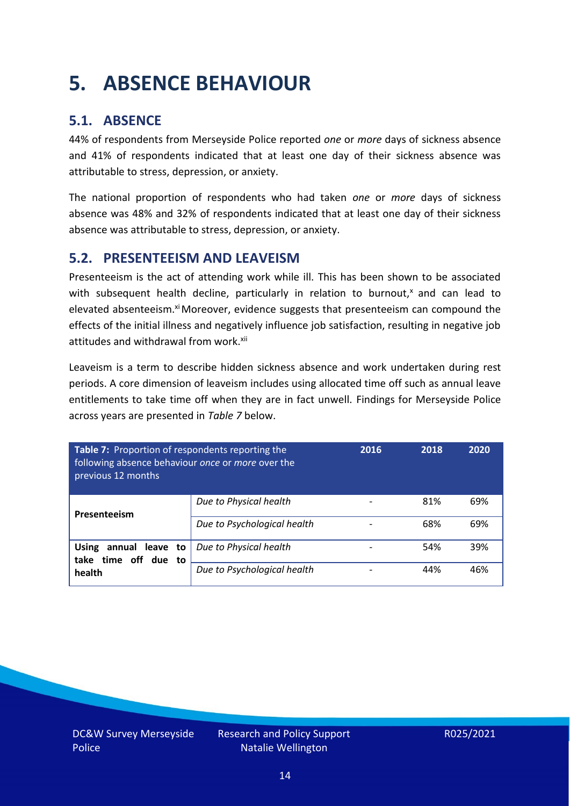# <span id="page-13-0"></span>**5. ABSENCE BEHAVIOUR**

### **5.1. ABSENCE**

44% of respondents from Merseyside Police reported *one* or *more* days of sickness absence and 41% of respondents indicated that at least one day of their sickness absence was attributable to stress, depression, or anxiety.

The national proportion of respondents who had taken *one* or *more* days of sickness absence was 48% and 32% of respondents indicated that at least one day of their sickness absence was attributable to stress, depression, or anxiety.

#### **5.2. PRESENTEEISM AND LEAVEISM**

Presenteeism is the act of attending work while ill. This has been shown to be associated with subsequent health decline, particularly in relation to burnout, $x$  and can lead to elevated absenteeism.<sup>xi</sup> Moreover, evidence suggests that presenteeism can compound the effects of the initial illness and negatively influence job satisfaction, resulting in negative job attitudes and withdrawal from work.<sup>xii</sup>

Leaveism is a term to describe hidden sickness absence and work undertaken during rest periods. A core dimension of leaveism includes using allocated time off such as annual leave entitlements to take time off when they are in fact unwell. Findings for Merseyside Police across years are presented in *Table 7* below.

| Table 7: Proportion of respondents reporting the<br>following absence behaviour once or more over the<br>previous 12 months |                             | 2016 | 2018 | 2020 |
|-----------------------------------------------------------------------------------------------------------------------------|-----------------------------|------|------|------|
| Presenteeism                                                                                                                | Due to Physical health      |      | 81%  | 69%  |
|                                                                                                                             | Due to Psychological health |      | 68%  | 69%  |
| annual leave to<br><b>Using</b><br>take time off due to                                                                     | Due to Physical health      |      | 54%  | 39%  |
| health                                                                                                                      | Due to Psychological health |      | 44%  | 46%  |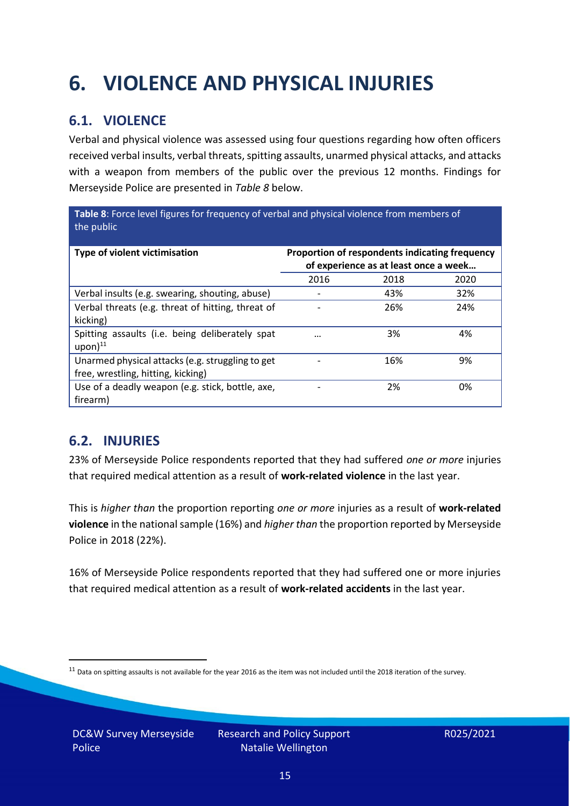# <span id="page-14-0"></span>**6. VIOLENCE AND PHYSICAL INJURIES**

### **6.1. VIOLENCE**

Verbal and physical violence was assessed using four questions regarding how often officers received verbal insults, verbal threats, spitting assaults, unarmed physical attacks, and attacks with a weapon from members of the public over the previous 12 months. Findings for Merseyside Police are presented in *Table 8* below.

**Table 8**: Force level figures for frequency of verbal and physical violence from members of the public

| Type of violent victimisation                                                          | Proportion of respondents indicating frequency<br>of experience as at least once a week |      |      |
|----------------------------------------------------------------------------------------|-----------------------------------------------------------------------------------------|------|------|
|                                                                                        | 2016                                                                                    | 2018 | 2020 |
| Verbal insults (e.g. swearing, shouting, abuse)                                        |                                                                                         | 43%  | 32%  |
| Verbal threats (e.g. threat of hitting, threat of<br>kicking)                          |                                                                                         | 26%  | 24%  |
| Spitting assaults (i.e. being deliberately spat<br>$upon)$ <sup>11</sup>               | $\cdots$                                                                                | 3%   | 4%   |
| Unarmed physical attacks (e.g. struggling to get<br>free, wrestling, hitting, kicking) |                                                                                         | 16%  | 9%   |
| Use of a deadly weapon (e.g. stick, bottle, axe,<br>firearm)                           |                                                                                         | 2%   | 0%   |

### **6.2. INJURIES**

23% of Merseyside Police respondents reported that they had suffered *one or more* injuries that required medical attention as a result of **work-related violence** in the last year.

This is *higher than* the proportion reporting *one or more* injuries as a result of **work-related violence** in the national sample (16%) and *higher than* the proportion reported by Merseyside Police in 2018 (22%).

16% of Merseyside Police respondents reported that they had suffered one or more injuries that required medical attention as a result of **work-related accidents** in the last year.

 $11$  Data on spitting assaults is not available for the year 2016 as the item was not included until the 2018 iteration of the survey.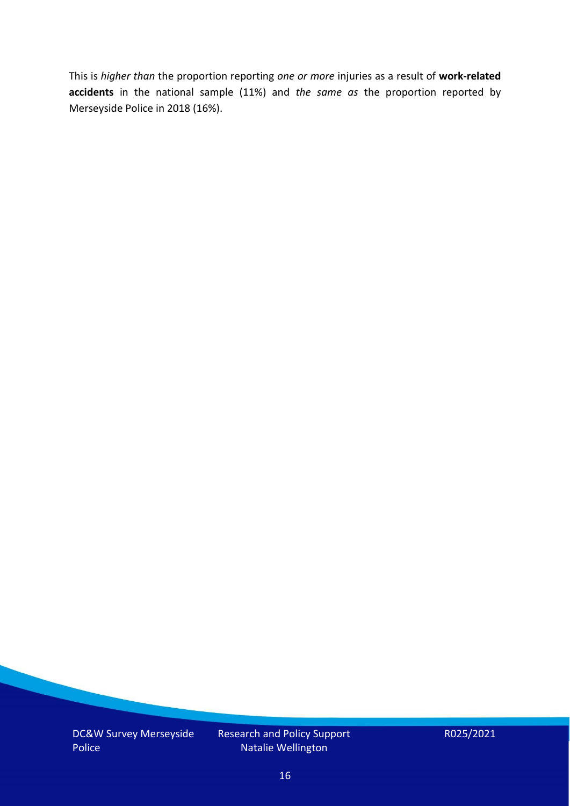This is *higher than* the proportion reporting *one or more* injuries as a result of **work-related accidents** in the national sample (11%) and *the same as* the proportion reported by Merseyside Police in 2018 (16%).

DC&W Survey Merseyside Police

Research and Policy Support Natalie Wellington

R025/2021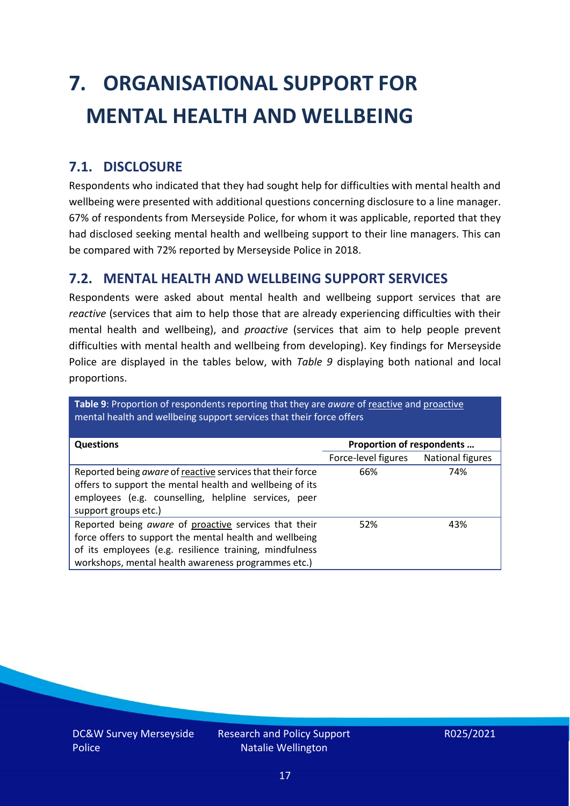# <span id="page-16-0"></span>**7. ORGANISATIONAL SUPPORT FOR MENTAL HEALTH AND WELLBEING**

### **7.1. DISCLOSURE**

Respondents who indicated that they had sought help for difficulties with mental health and wellbeing were presented with additional questions concerning disclosure to a line manager. 67% of respondents from Merseyside Police, for whom it was applicable, reported that they had disclosed seeking mental health and wellbeing support to their line managers. This can be compared with 72% reported by Merseyside Police in 2018.

#### **7.2. MENTAL HEALTH AND WELLBEING SUPPORT SERVICES**

Respondents were asked about mental health and wellbeing support services that are *reactive* (services that aim to help those that are already experiencing difficulties with their mental health and wellbeing), and *proactive* (services that aim to help people prevent difficulties with mental health and wellbeing from developing). Key findings for Merseyside Police are displayed in the tables below, with *Table 9* displaying both national and local proportions.

**Table 9**: Proportion of respondents reporting that they are *aware* of reactive and proactive mental health and wellbeing support services that their force offers

| <b>Questions</b>                                                                                                                                                                                                                   | Proportion of respondents |                  |
|------------------------------------------------------------------------------------------------------------------------------------------------------------------------------------------------------------------------------------|---------------------------|------------------|
|                                                                                                                                                                                                                                    | Force-level figures       | National figures |
| Reported being aware of reactive services that their force<br>offers to support the mental health and wellbeing of its<br>employees (e.g. counselling, helpline services, peer<br>support groups etc.)                             | 66%                       | 74%              |
| Reported being aware of proactive services that their<br>force offers to support the mental health and wellbeing<br>of its employees (e.g. resilience training, mindfulness<br>workshops, mental health awareness programmes etc.) | 52%                       | 43%              |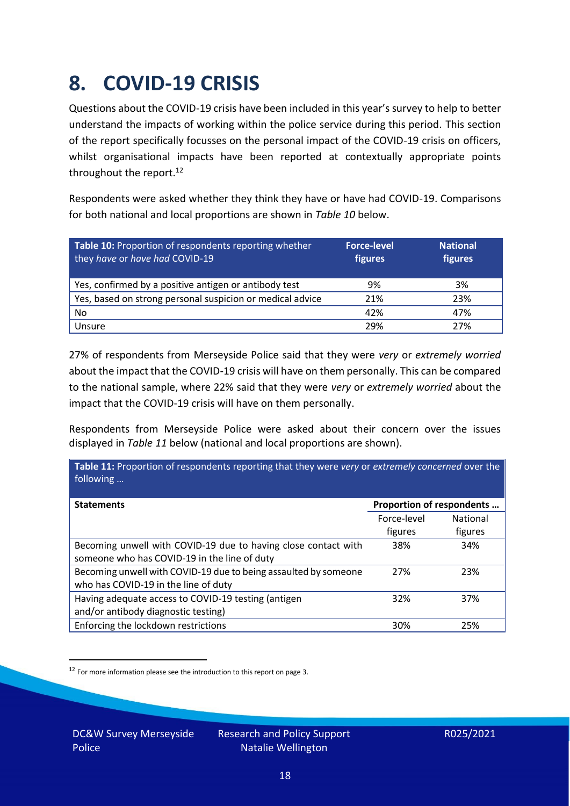### <span id="page-17-0"></span>**8. COVID-19 CRISIS**

Questions about the COVID-19 crisis have been included in this year's survey to help to better understand the impacts of working within the police service during this period. This section of the report specifically focusses on the personal impact of the COVID-19 crisis on officers, whilst organisational impacts have been reported at contextually appropriate points throughout the report.<sup>12</sup>

Respondents were asked whether they think they have or have had COVID-19. Comparisons for both national and local proportions are shown in *Table 10* below.

| Table 10: Proportion of respondents reporting whether<br>they have or have had COVID-19 | <b>Force-level</b><br>figures | <b>National</b><br>figures |
|-----------------------------------------------------------------------------------------|-------------------------------|----------------------------|
| Yes, confirmed by a positive antigen or antibody test                                   | 9%                            | 3%                         |
| Yes, based on strong personal suspicion or medical advice                               | 21%                           | 23%                        |
| No                                                                                      | 42%                           | 47%                        |
| Unsure                                                                                  | 29%                           | 27%                        |

27% of respondents from Merseyside Police said that they were *very* or *extremely worried* about the impact that the COVID-19 crisis will have on them personally. This can be compared to the national sample, where 22% said that they were *very* or *extremely worried* about the impact that the COVID-19 crisis will have on them personally.

Respondents from Merseyside Police were asked about their concern over the issues displayed in *Table 11* below (national and local proportions are shown).

| Table 11: Proportion of respondents reporting that they were very or extremely concerned over the<br>following |                           |                            |
|----------------------------------------------------------------------------------------------------------------|---------------------------|----------------------------|
| <b>Statements</b>                                                                                              | Proportion of respondents |                            |
|                                                                                                                | Force-level<br>figures    | <b>National</b><br>figures |
| Becoming unwell with COVID-19 due to having close contact with<br>someone who has COVID-19 in the line of duty | 38%                       | 34%                        |
| Becoming unwell with COVID-19 due to being assaulted by someone<br>who has COVID-19 in the line of duty        | 27%                       | 23%                        |
| Having adequate access to COVID-19 testing (antigen<br>and/or antibody diagnostic testing)                     | 32%                       | 37%                        |
| Enforcing the lockdown restrictions                                                                            | 30%                       | 25%                        |

<sup>12</sup> For more information please see the introduction to this report on page 3.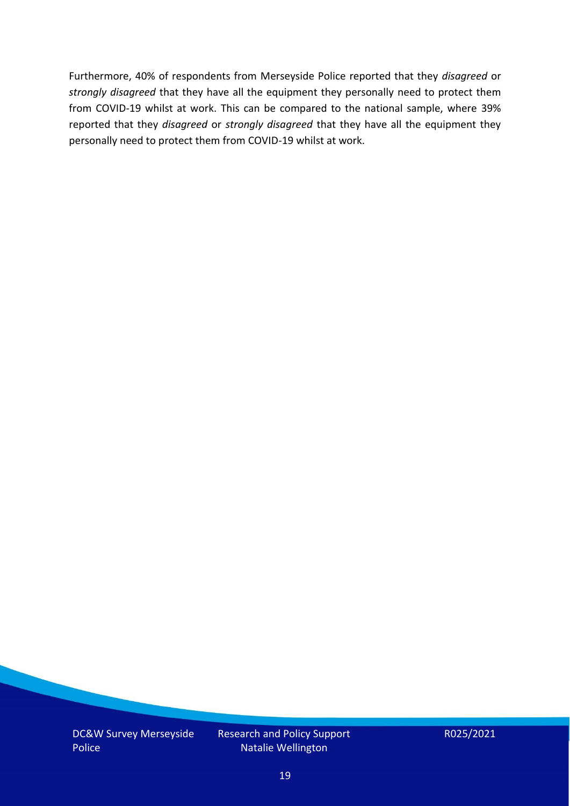Furthermore, 40% of respondents from Merseyside Police reported that they *disagreed* or *strongly disagreed* that they have all the equipment they personally need to protect them from COVID-19 whilst at work. This can be compared to the national sample, where 39% reported that they *disagreed* or *strongly disagreed* that they have all the equipment they personally need to protect them from COVID-19 whilst at work.

DC&W Survey Merseyside Police

Research and Policy Support Natalie Wellington

R025/2021